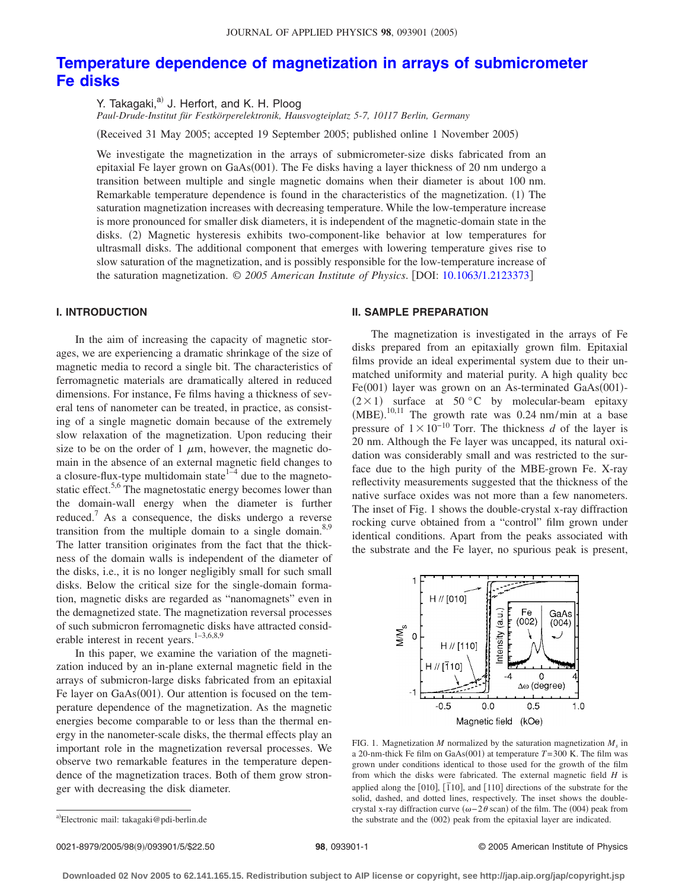# **[Temperature dependence of magnetization in arrays of submicrometer](http://dx.doi.org/10.1063/1.2123373) [Fe disks](http://dx.doi.org/10.1063/1.2123373)**

Y. Takagaki,<sup>a)</sup> J. Herfort, and K. H. Ploog

*Paul-Drude-Institut für Festkörperelektronik, Hausvogteiplatz 5-7, 10117 Berlin, Germany*

Received 31 May 2005; accepted 19 September 2005; published online 1 November 2005-

We investigate the magnetization in the arrays of submicrometer-size disks fabricated from an epitaxial Fe layer grown on GaAs(001). The Fe disks having a layer thickness of 20 nm undergo a transition between multiple and single magnetic domains when their diameter is about 100 nm. Remarkable temperature dependence is found in the characteristics of the magnetization. (1) The saturation magnetization increases with decreasing temperature. While the low-temperature increase is more pronounced for smaller disk diameters, it is independent of the magnetic-domain state in the disks. (2) Magnetic hysteresis exhibits two-component-like behavior at low temperatures for ultrasmall disks. The additional component that emerges with lowering temperature gives rise to slow saturation of the magnetization, and is possibly responsible for the low-temperature increase of the saturation magnetization. © *2005 American Institute of Physics*. DOI: [10.1063/1.2123373](http://dx.doi.org/10.1063/1.2123373)

## **I. INTRODUCTION**

In the aim of increasing the capacity of magnetic storages, we are experiencing a dramatic shrinkage of the size of magnetic media to record a single bit. The characteristics of ferromagnetic materials are dramatically altered in reduced dimensions. For instance, Fe films having a thickness of several tens of nanometer can be treated, in practice, as consisting of a single magnetic domain because of the extremely slow relaxation of the magnetization. Upon reducing their size to be on the order of 1  $\mu$ m, however, the magnetic domain in the absence of an external magnetic field changes to a closure-flux-type multidomain state<sup> $1-4$ </sup> due to the magnetostatic effect.<sup>5,6</sup> The magnetostatic energy becomes lower than the domain-wall energy when the diameter is further reduced.7 As a consequence, the disks undergo a reverse transition from the multiple domain to a single domain.<sup>8,9</sup> The latter transition originates from the fact that the thickness of the domain walls is independent of the diameter of the disks, i.e., it is no longer negligibly small for such small disks. Below the critical size for the single-domain formation, magnetic disks are regarded as "nanomagnets" even in the demagnetized state. The magnetization reversal processes of such submicron ferromagnetic disks have attracted considerable interest in recent years.<sup>1-3,6,8,9</sup>

In this paper, we examine the variation of the magnetization induced by an in-plane external magnetic field in the arrays of submicron-large disks fabricated from an epitaxial Fe layer on GaAs(001). Our attention is focused on the temperature dependence of the magnetization. As the magnetic energies become comparable to or less than the thermal energy in the nanometer-scale disks, the thermal effects play an important role in the magnetization reversal processes. We observe two remarkable features in the temperature dependence of the magnetization traces. Both of them grow stronger with decreasing the disk diameter.

#### **II. SAMPLE PREPARATION**

The magnetization is investigated in the arrays of Fe disks prepared from an epitaxially grown film. Epitaxial films provide an ideal experimental system due to their unmatched uniformity and material purity. A high quality bcc Fe(001) layer was grown on an As-terminated GaAs(001)- $(2 \times 1)$  surface at 50 °C by molecular-beam epitaxy  $(MBE).$ <sup>10,11</sup> The growth rate was 0.24 nm/min at a base pressure of  $1 \times 10^{-10}$  Torr. The thickness *d* of the layer is 20 nm. Although the Fe layer was uncapped, its natural oxidation was considerably small and was restricted to the surface due to the high purity of the MBE-grown Fe. X-ray reflectivity measurements suggested that the thickness of the native surface oxides was not more than a few nanometers. The inset of Fig. 1 shows the double-crystal x-ray diffraction rocking curve obtained from a "control" film grown under identical conditions. Apart from the peaks associated with the substrate and the Fe layer, no spurious peak is present,



FIG. 1. Magnetization *M* normalized by the saturation magnetization  $M<sub>s</sub>$  in a 20-nm-thick Fe film on GaAs(001) at temperature  $T=300$  K. The film was grown under conditions identical to those used for the growth of the film from which the disks were fabricated. The external magnetic field *H* is applied along the [010], [ $\overline{1}10$ ], and [110] directions of the substrate for the solid, dashed, and dotted lines, respectively. The inset shows the doublecrystal x-ray diffraction curve  $(\omega - 2\theta \, \text{scan})$  of the film. The (004) peak from the substrate and the (002) peak from the epitaxial layer are indicated.

0021-8979/2005/98(9)/093901/5/\$22.50

98, 093901-1 © 2005 American Institute of Physics

**Downloaded 02 Nov 2005 to 62.141.165.15. Redistribution subject to AIP license or copyright, see http://jap.aip.org/jap/copyright.jsp**

a)<br>Electronic mail: takagaki@pdi-berlin.de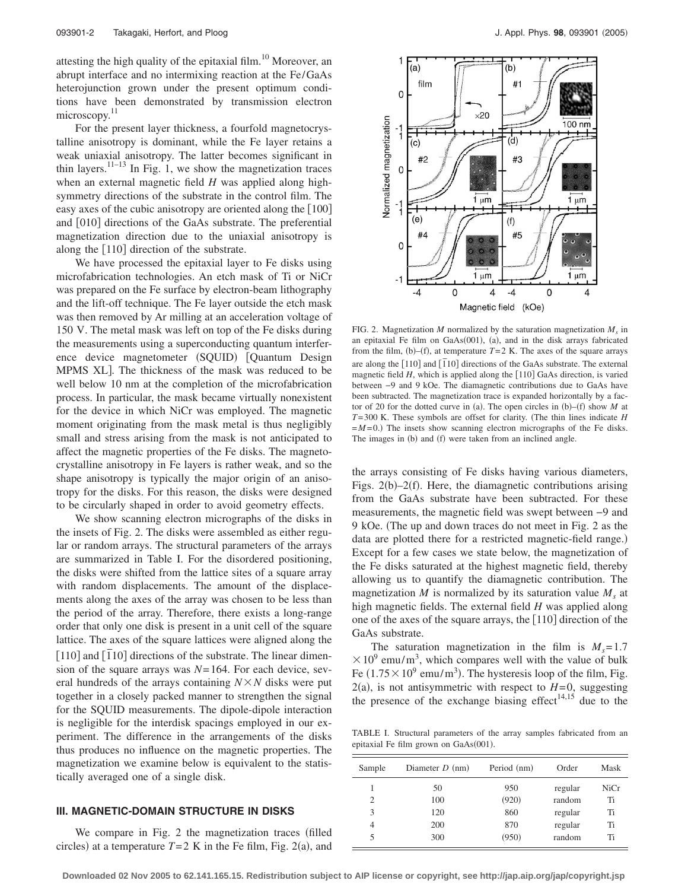attesting the high quality of the epitaxial film.<sup>10</sup> Moreover, an abrupt interface and no intermixing reaction at the Fe/GaAs heterojunction grown under the present optimum conditions have been demonstrated by transmission electron microscopy.<sup>11</sup>

For the present layer thickness, a fourfold magnetocrystalline anisotropy is dominant, while the Fe layer retains a weak uniaxial anisotropy. The latter becomes significant in thin layers.<sup>11–13</sup> In Fig. 1, we show the magnetization traces when an external magnetic field *H* was applied along highsymmetry directions of the substrate in the control film. The easy axes of the cubic anisotropy are oriented along the  $\lfloor 100 \rfloor$ and [010] directions of the GaAs substrate. The preferential magnetization direction due to the uniaxial anisotropy is along the  $[110]$  direction of the substrate.

We have processed the epitaxial layer to Fe disks using microfabrication technologies. An etch mask of Ti or NiCr was prepared on the Fe surface by electron-beam lithography and the lift-off technique. The Fe layer outside the etch mask was then removed by Ar milling at an acceleration voltage of 150 V. The metal mask was left on top of the Fe disks during the measurements using a superconducting quantum interference device magnetometer (SQUID) [Quantum Design MPMS XL]. The thickness of the mask was reduced to be well below 10 nm at the completion of the microfabrication process. In particular, the mask became virtually nonexistent for the device in which NiCr was employed. The magnetic moment originating from the mask metal is thus negligibly small and stress arising from the mask is not anticipated to affect the magnetic properties of the Fe disks. The magnetocrystalline anisotropy in Fe layers is rather weak, and so the shape anisotropy is typically the major origin of an anisotropy for the disks. For this reason, the disks were designed to be circularly shaped in order to avoid geometry effects.

We show scanning electron micrographs of the disks in the insets of Fig. 2. The disks were assembled as either regular or random arrays. The structural parameters of the arrays are summarized in Table I. For the disordered positioning, the disks were shifted from the lattice sites of a square array with random displacements. The amount of the displacements along the axes of the array was chosen to be less than the period of the array. Therefore, there exists a long-range order that only one disk is present in a unit cell of the square lattice. The axes of the square lattices were aligned along the  $[110]$  and  $[\overline{1}10]$  directions of the substrate. The linear dimension of the square arrays was  $N=164$ . For each device, several hundreds of the arrays containing  $N \times N$  disks were put together in a closely packed manner to strengthen the signal for the SQUID measurements. The dipole-dipole interaction is negligible for the interdisk spacings employed in our experiment. The difference in the arrangements of the disks thus produces no influence on the magnetic properties. The magnetization we examine below is equivalent to the statistically averaged one of a single disk.

## **III. MAGNETIC-DOMAIN STRUCTURE IN DISKS**

We compare in Fig. 2 the magnetization traces (filled circles) at a temperature  $T=2$  K in the Fe film, Fig. 2(a), and



FIG. 2. Magnetization *M* normalized by the saturation magnetization  $M_s$  in an epitaxial Fe film on GaAs(001), (a), and in the disk arrays fabricated from the film, (b)–(f), at temperature  $T=2$  K. The axes of the square arrays are along the  $[110]$  and  $[110]$  directions of the GaAs substrate. The external magnetic field  $H$ , which is applied along the  $[110]$  GaAs direction, is varied between −9 and 9 kOe. The diamagnetic contributions due to GaAs have been subtracted. The magnetization trace is expanded horizontally by a factor of 20 for the dotted curve in (a). The open circles in  $(b)$ – $(f)$  show M at *T*= 300 K. These symbols are offset for clarity. (The thin lines indicate *H*  $=M=0$ .) The insets show scanning electron micrographs of the Fe disks. The images in (b) and (f) were taken from an inclined angle.

the arrays consisting of Fe disks having various diameters, Figs.  $2(b) - 2(f)$ . Here, the diamagnetic contributions arising from the GaAs substrate have been subtracted. For these measurements, the magnetic field was swept between −9 and 9 kOe. The up and down traces do not meet in Fig. 2 as the data are plotted there for a restricted magnetic-field range.) Except for a few cases we state below, the magnetization of the Fe disks saturated at the highest magnetic field, thereby allowing us to quantify the diamagnetic contribution. The magnetization *M* is normalized by its saturation value  $M_s$  at high magnetic fields. The external field *H* was applied along one of the axes of the square arrays, the  $[110]$  direction of the GaAs substrate.

The saturation magnetization in the film is  $M_s = 1.7$  $\times$  10<sup>9</sup> emu/m<sup>3</sup>, which compares well with the value of bulk Fe  $(1.75 \times 10^9 \text{ emu/m}^3)$ . The hysteresis loop of the film, Fig.  $2(a)$ , is not antisymmetric with respect to  $H=0$ , suggesting the presence of the exchange biasing effect<sup>14,15</sup> due to the

TABLE I. Structural parameters of the array samples fabricated from an epitaxial Fe film grown on GaAs(001).

| Sample         | Diameter $D$ (nm) | Period (nm) | Order   | Mask |
|----------------|-------------------|-------------|---------|------|
|                | 50                | 950         | regular | NiCr |
| $\mathfrak{D}$ | 100               | (920)       | random  | Ti   |
| 3              | 120               | 860         | regular | Ti   |
| 4              | 200               | 870         | regular | Ti   |
|                | 300               | (950)       | random  | Ti   |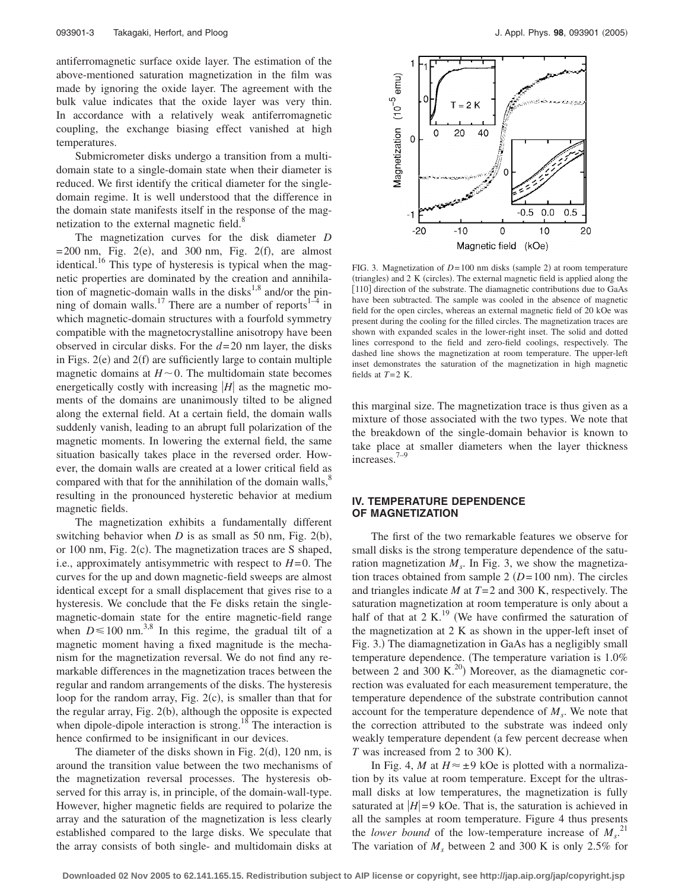antiferromagnetic surface oxide layer. The estimation of the above-mentioned saturation magnetization in the film was made by ignoring the oxide layer. The agreement with the bulk value indicates that the oxide layer was very thin. In accordance with a relatively weak antiferromagnetic coupling, the exchange biasing effect vanished at high temperatures.

Submicrometer disks undergo a transition from a multidomain state to a single-domain state when their diameter is reduced. We first identify the critical diameter for the singledomain regime. It is well understood that the difference in the domain state manifests itself in the response of the magnetization to the external magnetic field.<sup>8</sup>

The magnetization curves for the disk diameter *D*  $= 200$  nm, Fig. 2(e), and 300 nm, Fig. 2(f), are almost identical.<sup>16</sup> This type of hysteresis is typical when the magnetic properties are dominated by the creation and annihilation of magnetic-domain walls in the disks<sup>1,8</sup> and/or the pinning of domain walls.<sup>17</sup> There are a number of reports<sup>1-4</sup> in which magnetic-domain structures with a fourfold symmetry compatible with the magnetocrystalline anisotropy have been observed in circular disks. For the *d*= 20 nm layer, the disks in Figs.  $2(e)$  and  $2(f)$  are sufficiently large to contain multiple magnetic domains at  $H \sim 0$ . The multidomain state becomes energetically costly with increasing  $|H|$  as the magnetic moments of the domains are unanimously tilted to be aligned along the external field. At a certain field, the domain walls suddenly vanish, leading to an abrupt full polarization of the magnetic moments. In lowering the external field, the same situation basically takes place in the reversed order. However, the domain walls are created at a lower critical field as compared with that for the annihilation of the domain walls, $\delta$ resulting in the pronounced hysteretic behavior at medium magnetic fields.

The magnetization exhibits a fundamentally different switching behavior when  $D$  is as small as 50 nm, Fig. 2(b), or 100 nm, Fig. 2(c). The magnetization traces are S shaped, i.e., approximately antisymmetric with respect to  $H=0$ . The curves for the up and down magnetic-field sweeps are almost identical except for a small displacement that gives rise to a hysteresis. We conclude that the Fe disks retain the singlemagnetic-domain state for the entire magnetic-field range when  $D \le 100$  nm.<sup>3,8</sup> In this regime, the gradual tilt of a magnetic moment having a fixed magnitude is the mechanism for the magnetization reversal. We do not find any remarkable differences in the magnetization traces between the regular and random arrangements of the disks. The hysteresis loop for the random array, Fig. 2(c), is smaller than that for the regular array, Fig. 2(b), although the opposite is expected when dipole-dipole interaction is strong.<sup>18</sup> The interaction is hence confirmed to be insignificant in our devices.

The diameter of the disks shown in Fig.  $2(d)$ , 120 nm, is around the transition value between the two mechanisms of the magnetization reversal processes. The hysteresis observed for this array is, in principle, of the domain-wall-type. However, higher magnetic fields are required to polarize the array and the saturation of the magnetization is less clearly established compared to the large disks. We speculate that the array consists of both single- and multidomain disks at



FIG. 3. Magnetization of  $D=100$  nm disks (sample 2) at room temperature (triangles) and 2 K (circles). The external magnetic field is applied along the [110] direction of the substrate. The diamagnetic contributions due to GaAs have been subtracted. The sample was cooled in the absence of magnetic field for the open circles, whereas an external magnetic field of 20 kOe was present during the cooling for the filled circles. The magnetization traces are shown with expanded scales in the lower-right inset. The solid and dotted lines correspond to the field and zero-field coolings, respectively. The dashed line shows the magnetization at room temperature. The upper-left inset demonstrates the saturation of the magnetization in high magnetic fields at  $T=2$  K.

this marginal size. The magnetization trace is thus given as a mixture of those associated with the two types. We note that the breakdown of the single-domain behavior is known to take place at smaller diameters when the layer thickness increases.7–9

## **IV. TEMPERATURE DEPENDENCE OF MAGNETIZATION**

The first of the two remarkable features we observe for small disks is the strong temperature dependence of the saturation magnetization  $M<sub>s</sub>$ . In Fig. 3, we show the magnetization traces obtained from sample  $2 (D=100 \text{ nm})$ . The circles and triangles indicate *M* at *T*= 2 and 300 K, respectively. The saturation magnetization at room temperature is only about a half of that at  $2 K<sup>19</sup>$  (We have confirmed the saturation of the magnetization at 2 K as shown in the upper-left inset of Fig. 3.) The diamagnetization in GaAs has a negligibly small temperature dependence. The temperature variation is 1.0% between 2 and 300 K.<sup>20</sup>) Moreover, as the diamagnetic correction was evaluated for each measurement temperature, the temperature dependence of the substrate contribution cannot account for the temperature dependence of  $M<sub>s</sub>$ . We note that the correction attributed to the substrate was indeed only weakly temperature dependent (a few percent decrease when  $T$  was increased from 2 to 300 K).

In Fig. 4, *M* at  $H \approx \pm 9$  kOe is plotted with a normalization by its value at room temperature. Except for the ultrasmall disks at low temperatures, the magnetization is fully saturated at  $|H|=9$  kOe. That is, the saturation is achieved in all the samples at room temperature. Figure 4 thus presents the *lower bound* of the low-temperature increase of  $M_s$ .<sup>21</sup> The variation of  $M<sub>s</sub>$  between 2 and 300 K is only 2.5% for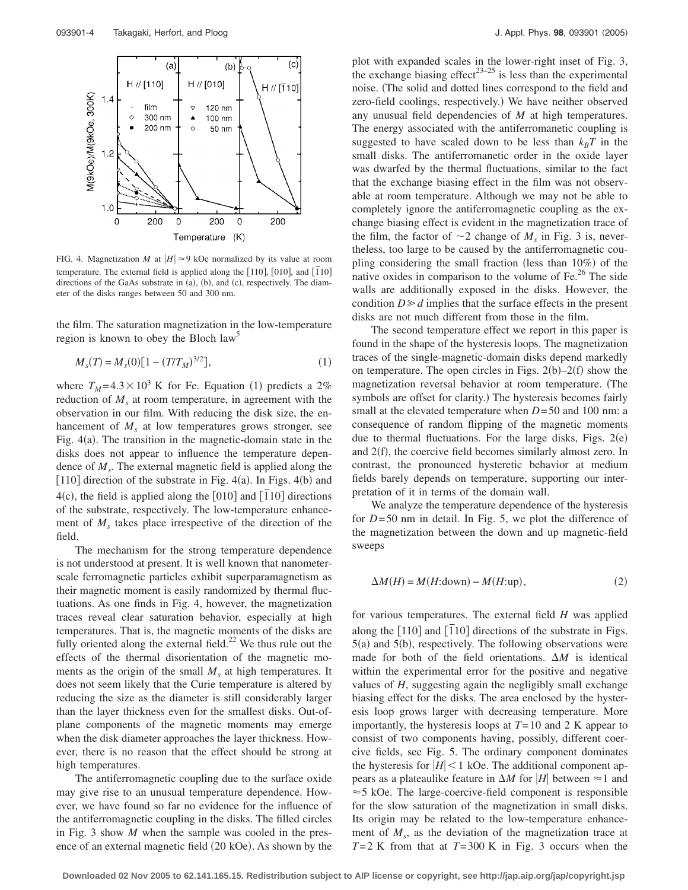

FIG. 4. Magnetization *M* at  $|H| \approx 9$  kOe normalized by its value at room temperature. The external field is applied along the [110], [010], and [110] directions of the GaAs substrate in (a), (b), and (c), respectively. The diameter of the disks ranges between 50 and 300 nm.

the film. The saturation magnetization in the low-temperature region is known to obey the Bloch law<sup>5</sup>

$$
M_s(T) = M_s(0)[1 - (T/T_M)^{3/2}],\tag{1}
$$

where  $T_M = 4.3 \times 10^3$  K for Fe. Equation (1) predicts a 2% reduction of  $M<sub>s</sub>$  at room temperature, in agreement with the observation in our film. With reducing the disk size, the enhancement of  $M<sub>s</sub>$  at low temperatures grows stronger, see Fig.  $4(a)$ . The transition in the magnetic-domain state in the disks does not appear to influence the temperature dependence of *Ms*. The external magnetic field is applied along the [110] direction of the substrate in Fig.  $4(a)$ . In Figs.  $4(b)$  and  $4(c)$ , the field is applied along the  $[010]$  and  $[110]$  directions of the substrate, respectively. The low-temperature enhancement of  $M<sub>s</sub>$  takes place irrespective of the direction of the field.

The mechanism for the strong temperature dependence is not understood at present. It is well known that nanometerscale ferromagnetic particles exhibit superparamagnetism as their magnetic moment is easily randomized by thermal fluctuations. As one finds in Fig. 4, however, the magnetization traces reveal clear saturation behavior, especially at high temperatures. That is, the magnetic moments of the disks are fully oriented along the external field.<sup>22</sup> We thus rule out the effects of the thermal disorientation of the magnetic moments as the origin of the small  $M<sub>s</sub>$  at high temperatures. It does not seem likely that the Curie temperature is altered by reducing the size as the diameter is still considerably larger than the layer thickness even for the smallest disks. Out-ofplane components of the magnetic moments may emerge when the disk diameter approaches the layer thickness. However, there is no reason that the effect should be strong at high temperatures.

The antiferromagnetic coupling due to the surface oxide may give rise to an unusual temperature dependence. However, we have found so far no evidence for the influence of the antiferromagnetic coupling in the disks. The filled circles in Fig. 3 show *M* when the sample was cooled in the presence of an external magnetic field (20 kOe). As shown by the

plot with expanded scales in the lower-right inset of Fig. 3, the exchange biasing effect<sup>23–25</sup> is less than the experimental noise. The solid and dotted lines correspond to the field and zero-field coolings, respectively.) We have neither observed any unusual field dependencies of *M* at high temperatures. The energy associated with the antiferromanetic coupling is suggested to have scaled down to be less than  $k_BT$  in the small disks. The antiferromanetic order in the oxide layer was dwarfed by the thermal fluctuations, similar to the fact that the exchange biasing effect in the film was not observable at room temperature. Although we may not be able to completely ignore the antiferromagnetic coupling as the exchange biasing effect is evident in the magnetization trace of the film, the factor of  $\sim$ 2 change of  $M<sub>s</sub>$  in Fig. 3 is, nevertheless, too large to be caused by the antiferromagnetic coupling considering the small fraction (less than 10%) of the native oxides in comparison to the volume of  $Fe<sup>26</sup>$ . The side walls are additionally exposed in the disks. However, the condition  $D \ge d$  implies that the surface effects in the present disks are not much different from those in the film.

The second temperature effect we report in this paper is found in the shape of the hysteresis loops. The magnetization traces of the single-magnetic-domain disks depend markedly on temperature. The open circles in Figs.  $2(b)-2(f)$  show the magnetization reversal behavior at room temperature. The symbols are offset for clarity.) The hysteresis becomes fairly small at the elevated temperature when *D*=50 and 100 nm: a consequence of random flipping of the magnetic moments due to thermal fluctuations. For the large disks, Figs.  $2(e)$ and 2(f), the coercive field becomes similarly almost zero. In contrast, the pronounced hysteretic behavior at medium fields barely depends on temperature, supporting our interpretation of it in terms of the domain wall.

We analyze the temperature dependence of the hysteresis for *D*= 50 nm in detail. In Fig. 5, we plot the difference of the magnetization between the down and up magnetic-field sweeps

$$
\Delta M(H) = M(H:down) - M(H:up), \qquad (2)
$$

for various temperatures. The external field *H* was applied along the  $[110]$  and  $[110]$  directions of the substrate in Figs.  $5(a)$  and  $5(b)$ , respectively. The following observations were made for both of the field orientations.  $\Delta M$  is identical within the experimental error for the positive and negative values of *H*, suggesting again the negligibly small exchange biasing effect for the disks. The area enclosed by the hysteresis loop grows larger with decreasing temperature. More importantly, the hysteresis loops at  $T=10$  and 2 K appear to consist of two components having, possibly, different coercive fields, see Fig. 5. The ordinary component dominates the hysteresis for  $|H|$  < 1 kOe. The additional component appears as a plateaulike feature in  $\Delta M$  for *H* between  $\approx$  1 and  $\approx$  5 kOe. The large-coercive-field component is responsible for the slow saturation of the magnetization in small disks. Its origin may be related to the low-temperature enhancement of  $M_s$ , as the deviation of the magnetization trace at  $T=2$  K from that at  $T=300$  K in Fig. 3 occurs when the